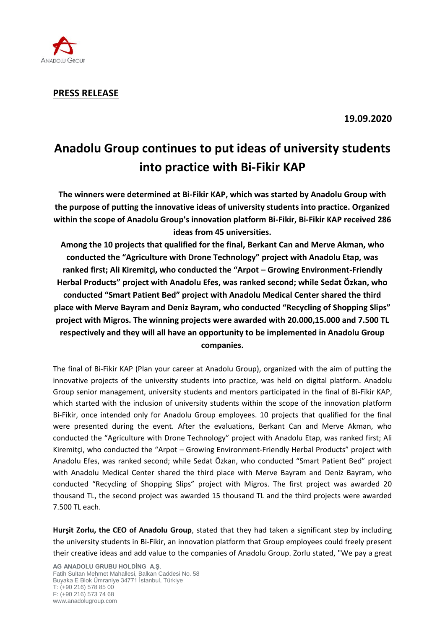

**PRESS RELEASE**

**19.09.2020**

## **Anadolu Group continues to put ideas of university students into practice with Bi-Fikir KAP**

**The winners were determined at Bi-Fikir KAP, which was started by Anadolu Group with the purpose of putting the innovative ideas of university students into practice. Organized within the scope of Anadolu Group's innovation platform Bi-Fikir, Bi-Fikir KAP received 286 ideas from 45 universities.** 

**Among the 10 projects that qualified for the final, Berkant Can and Merve Akman, who conducted the "Agriculture with Drone Technology" project with Anadolu Etap, was ranked first; Ali Kiremitçi, who conducted the "Arpot – Growing Environment-Friendly Herbal Products" project with Anadolu Efes, was ranked second; while Sedat Özkan, who conducted "Smart Patient Bed" project with Anadolu Medical Center shared the third place with Merve Bayram and Deniz Bayram, who conducted "Recycling of Shopping Slips" project with Migros. The winning projects were awarded with 20.000,15.000 and 7.500 TL respectively and they will all have an opportunity to be implemented in Anadolu Group companies.**

The final of Bi-Fikir KAP (Plan your career at Anadolu Group), organized with the aim of putting the innovative projects of the university students into practice, was held on digital platform. Anadolu Group senior management, university students and mentors participated in the final of Bi-Fikir KAP, which started with the inclusion of university students within the scope of the innovation platform Bi-Fikir, once intended only for Anadolu Group employees. 10 projects that qualified for the final were presented during the event. After the evaluations, Berkant Can and Merve Akman, who conducted the "Agriculture with Drone Technology" project with Anadolu Etap, was ranked first; Ali Kiremitçi, who conducted the "Arpot – Growing Environment-Friendly Herbal Products" project with Anadolu Efes, was ranked second; while Sedat Özkan, who conducted "Smart Patient Bed" project with Anadolu Medical Center shared the third place with Merve Bayram and Deniz Bayram, who conducted "Recycling of Shopping Slips" project with Migros. The first project was awarded 20 thousand TL, the second project was awarded 15 thousand TL and the third projects were awarded 7.500 TL each.

**Hurşit Zorlu, the CEO of Anadolu Group**, stated that they had taken a significant step by including the university students in Bi-Fikir, an innovation platform that Group employees could freely present their creative ideas and add value to the companies of Anadolu Group. Zorlu stated, "We pay a great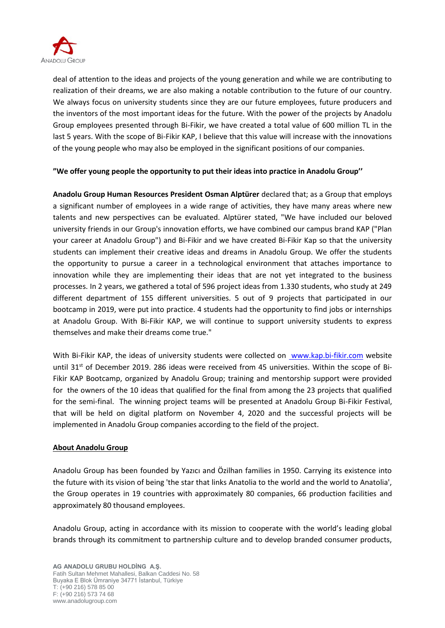

deal of attention to the ideas and projects of the young generation and while we are contributing to realization of their dreams, we are also making a notable contribution to the future of our country. We always focus on university students since they are our future employees, future producers and the inventors of the most important ideas for the future. With the power of the projects by Anadolu Group employees presented through Bi-Fikir, we have created a total value of 600 million TL in the last 5 years. With the scope of Bi-Fikir KAP, I believe that this value will increase with the innovations of the young people who may also be employed in the significant positions of our companies.

## **"We offer young people the opportunity to put their ideas into practice in Anadolu Group''**

**Anadolu Group Human Resources President Osman Alptürer** declared that; as a Group that employs a significant number of employees in a wide range of activities, they have many areas where new talents and new perspectives can be evaluated. Alptürer stated, "We have included our beloved university friends in our Group's innovation efforts, we have combined our campus brand KAP ("Plan your career at Anadolu Group") and Bi-Fikir and we have created Bi-Fikir Kap so that the university students can implement their creative ideas and dreams in Anadolu Group. We offer the students the opportunity to pursue a career in a technological environment that attaches importance to innovation while they are implementing their ideas that are not yet integrated to the business processes. In 2 years, we gathered a total of 596 project ideas from 1.330 students, who study at 249 different department of 155 different universities. 5 out of 9 projects that participated in our bootcamp in 2019, were put into practice. 4 students had the opportunity to find jobs or internships at Anadolu Group. With Bi-Fikir KAP, we will continue to support university students to express themselves and make their dreams come true."

With Bi-Fikir KAP, the ideas of university students were collected on [www.kap.bi-fikir.com](http://www.kap.bi-fikir.com/) website until 31<sup>st</sup> of December 2019. 286 ideas were received from 45 universities. Within the scope of Bi-Fikir KAP Bootcamp, organized by Anadolu Group; training and mentorship support were provided for the owners of the 10 ideas that qualified for the final from among the 23 projects that qualified for the semi-final. The winning project teams will be presented at Anadolu Group Bi-Fikir Festival, that will be held on digital platform on November 4, 2020 and the successful projects will be implemented in Anadolu Group companies according to the field of the project.

## **About Anadolu Group**

Anadolu Group has been founded by Yazıcı and Özilhan families in 1950. Carrying its existence into the future with its vision of being 'the star that links Anatolia to the world and the world to Anatolia', the Group operates in 19 countries with approximately 80 companies, 66 production facilities and approximately 80 thousand employees.

Anadolu Group, acting in accordance with its mission to cooperate with the world's leading global brands through its commitment to partnership culture and to develop branded consumer products,